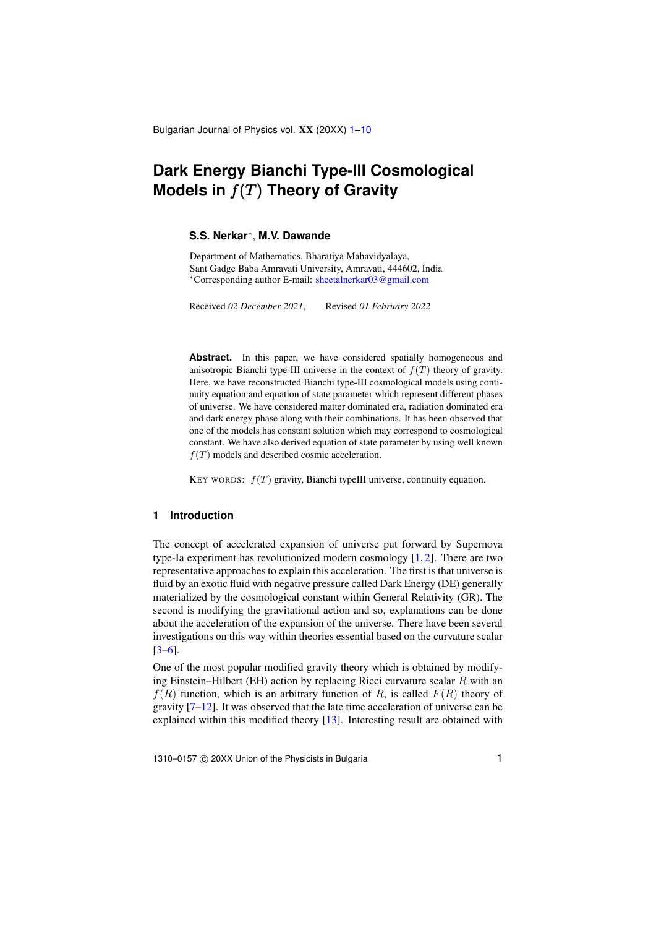Bulgarian Journal of Physics vol. XX (20XX) [1](#page-0-0)[–10](#page-8-0)

# <span id="page-0-0"></span>**Dark Energy Bianchi Type-III Cosmological Models in** f(T) **Theory of Gravity**

# **S.S. Nerkar**<sup>∗</sup> , **M.V. Dawande**

Department of Mathematics, Bharatiya Mahavidyalaya, Sant Gadge Baba Amravati University, Amravati, 444602, India <sup>∗</sup>Corresponding author E-mail: [sheetalnerkar03@gmail.com](mailto:sheetalnerkar03@gmail.com)

Received *02 December 2021*, Revised *01 February 2022*

Abstract. In this paper, we have considered spatially homogeneous and anisotropic Bianchi type-III universe in the context of  $f(T)$  theory of gravity. Here, we have reconstructed Bianchi type-III cosmological models using continuity equation and equation of state parameter which represent different phases of universe. We have considered matter dominated era, radiation dominated era and dark energy phase along with their combinations. It has been observed that one of the models has constant solution which may correspond to cosmological constant. We have also derived equation of state parameter by using well known  $f(T)$  models and described cosmic acceleration.

KEY WORDS:  $f(T)$  gravity, Bianchi typeIII universe, continuity equation.

## **1 Introduction**

The concept of accelerated expansion of universe put forward by Supernova type-Ia experiment has revolutionized modern cosmology  $[1, 2]$  $[1, 2]$  $[1, 2]$ . There are two representative approaches to explain this acceleration. The first is that universe is fluid by an exotic fluid with negative pressure called Dark Energy (DE) generally materialized by the cosmological constant within General Relativity (GR). The second is modifying the gravitational action and so, explanations can be done about the acceleration of the expansion of the universe. There have been several investigations on this way within theories essential based on the curvature scalar [\[3](#page-9-0)[–6\]](#page-9-1).

One of the most popular modified gravity theory which is obtained by modifying Einstein–Hilbert (EH) action by replacing Ricci curvature scalar  $R$  with an  $f(R)$  function, which is an arbitrary function of R, is called  $F(R)$  theory of gravity [\[7–](#page-9-2)[12\]](#page-9-3). It was observed that the late time acceleration of universe can be explained within this modified theory [\[13\]](#page-9-4). Interesting result are obtained with

1310–0157 © 20XX Union of the Physicists in Bulgaria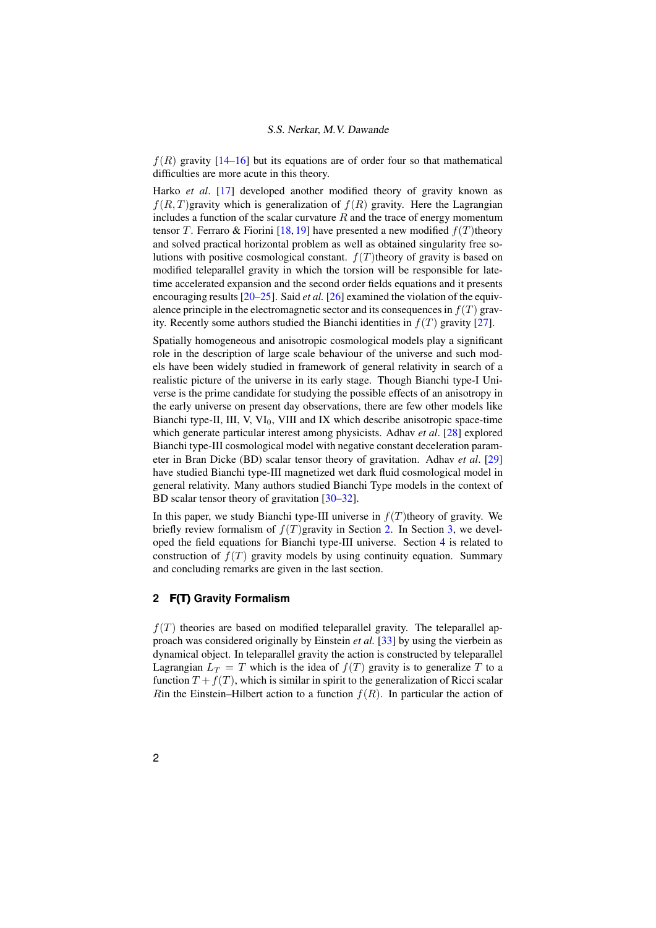$f(R)$  gravity  $[14–16]$  $[14–16]$  but its equations are of order four so that mathematical difficulties are more acute in this theory.

Harko *et al*. [\[17\]](#page-9-7) developed another modified theory of gravity known as  $f(R, T)$ gravity which is generalization of  $f(R)$  gravity. Here the Lagrangian includes a function of the scalar curvature  $R$  and the trace of energy momentum tensor T. Ferraro & Fiorini [\[18,](#page-9-8) [19\]](#page-9-9) have presented a new modified  $f(T)$ theory and solved practical horizontal problem as well as obtained singularity free solutions with positive cosmological constant.  $f(T)$ theory of gravity is based on modified teleparallel gravity in which the torsion will be responsible for latetime accelerated expansion and the second order fields equations and it presents encouraging results [\[20](#page-9-10)[–25\]](#page-9-11). Said *et al.* [\[26\]](#page-9-12) examined the violation of the equivalence principle in the electromagnetic sector and its consequences in  $f(T)$  gravity. Recently some authors studied the Bianchi identities in  $f(T)$  gravity [\[27\]](#page-9-13).

Spatially homogeneous and anisotropic cosmological models play a significant role in the description of large scale behaviour of the universe and such models have been widely studied in framework of general relativity in search of a realistic picture of the universe in its early stage. Though Bianchi type-I Universe is the prime candidate for studying the possible effects of an anisotropy in the early universe on present day observations, there are few other models like Bianchi type-II, III, V,  $VI_0$ , VIII and IX which describe anisotropic space-time which generate particular interest among physicists. Adhav *et al*. [\[28\]](#page-9-14) explored Bianchi type-III cosmological model with negative constant deceleration parameter in Bran Dicke (BD) scalar tensor theory of gravitation. Adhav *et al*. [\[29\]](#page-9-15) have studied Bianchi type-III magnetized wet dark fluid cosmological model in general relativity. Many authors studied Bianchi Type models in the context of BD scalar tensor theory of gravitation [\[30](#page-9-16)[–32\]](#page-9-17).

In this paper, we study Bianchi type-III universe in  $f(T)$ theory of gravity. We briefly review formalism of  $f(T)$ gravity in Section [2.](#page-1-0) In Section [3,](#page-3-0) we developed the field equations for Bianchi type-III universe. Section [4](#page-5-0) is related to construction of  $f(T)$  gravity models by using continuity equation. Summary and concluding remarks are given in the last section.

# <span id="page-1-0"></span>**2 F(T) Gravity Formalism**

 $f(T)$  theories are based on modified teleparallel gravity. The teleparallel approach was considered originally by Einstein *et al.* [\[33\]](#page-9-18) by using the vierbein as dynamical object. In teleparallel gravity the action is constructed by teleparallel Lagrangian  $L_T = T$  which is the idea of  $f(T)$  gravity is to generalize T to a function  $T + f(T)$ , which is similar in spirit to the generalization of Ricci scalar Rin the Einstein–Hilbert action to a function  $f(R)$ . In particular the action of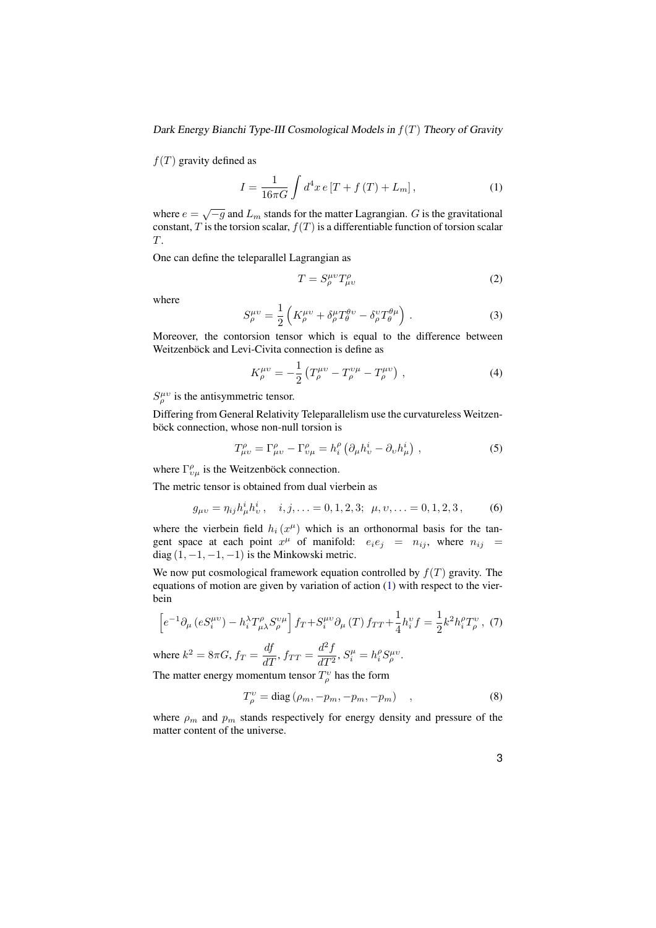Dark Energy Bianchi Type-III Cosmological Models in  $f(T)$  Theory of Gravity

 $f(T)$  gravity defined as

<span id="page-2-0"></span>
$$
I = \frac{1}{16\pi G} \int d^4x \, e \left[ T + f(T) + L_m \right],\tag{1}
$$

where  $e = \sqrt{-g}$  and  $L_m$  stands for the matter Lagrangian. G is the gravitational constant, T is the torsion scalar,  $f(T)$  is a differentiable function of torsion scalar T.

One can define the teleparallel Lagrangian as

<span id="page-2-2"></span><span id="page-2-1"></span>
$$
T = S^{\mu\nu}_{\rho} T^{\rho}_{\mu\nu} \tag{2}
$$

<span id="page-2-3"></span>where

$$
S^{\mu\nu}_{\rho} = \frac{1}{2} \left( K^{\mu\nu}_{\rho} + \delta^{\mu}_{\rho} T^{\theta\nu}_{\theta} - \delta^{\nu}_{\rho} T^{\theta\mu}_{\theta} \right) . \tag{3}
$$

Moreover, the contorsion tensor which is equal to the difference between Weitzenböck and Levi-Civita connection is define as

<span id="page-2-4"></span>
$$
K_{\rho}^{\mu\nu} = -\frac{1}{2} \left( T_{\rho}^{\mu\nu} - T_{\rho}^{\nu\mu} - T_{\rho}^{\mu\nu} \right) , \qquad (4)
$$

 $S^{\mu\nu}_\rho$  is the antisymmetric tensor.

Differing from General Relativity Teleparallelism use the curvatureless Weitzenböck connection, whose non-null torsion is

$$
T^{\rho}_{\mu\nu} = \Gamma^{\rho}_{\mu\nu} - \Gamma^{\rho}_{\nu\mu} = h^{\rho}_i \left( \partial_{\mu} h^i_{\nu} - \partial_{\nu} h^i_{\mu} \right) , \qquad (5)
$$

where  $\Gamma_{v\mu}^{\rho}$  is the Weitzenböck connection.

The metric tensor is obtained from dual vierbein as

$$
g_{\mu\nu} = \eta_{ij} h^i_\mu h^i_\nu, \quad i, j, \dots = 0, 1, 2, 3; \quad \mu, \nu, \dots = 0, 1, 2, 3, \tag{6}
$$

where the vierbein field  $h_i(x^{\mu})$  which is an orthonormal basis for the tangent space at each point  $x^{\mu}$  of manifold:  $e_i e_j = n_{ij}$ , where  $n_{ij}$ diag  $(1, -1, -1, -1)$  is the Minkowski metric.

We now put cosmological framework equation controlled by  $f(T)$  gravity. The equations of motion are given by variation of action [\(1\)](#page-2-0) with respect to the vierbein

<span id="page-2-6"></span>
$$
\[e^{-1}\partial_{\mu}\left(eS_{i}^{\mu\nu}\right) - h_{i}^{\lambda}T_{\mu\lambda}^{\rho}S_{\rho}^{\nu\mu}\]f_{T} + S_{i}^{\mu\nu}\partial_{\mu}\left(T\right)f_{TT} + \frac{1}{4}h_{i}^{\nu}f = \frac{1}{2}k^{2}h_{i}^{\rho}T_{\rho}^{\nu}\,,\tag{7}
$$

where  $k^2 = 8\pi G$ ,  $f_T = \frac{df}{dT}$ ,  $f_{TT} = \frac{d^2 f}{dT^2}$  $\frac{d}{dT^2}$ ,  $S_i^{\mu} = h_i^{\rho} S_{\rho}^{\mu \nu}$ .

The matter energy momentum tensor  $T_\rho^v$  has the form

<span id="page-2-5"></span>
$$
T_{\rho}^{\nu} = \text{diag}\left(\rho_m, -p_m, -p_m, -p_m\right) \quad , \tag{8}
$$

where  $\rho_m$  and  $p_m$  stands respectively for energy density and pressure of the matter content of the universe.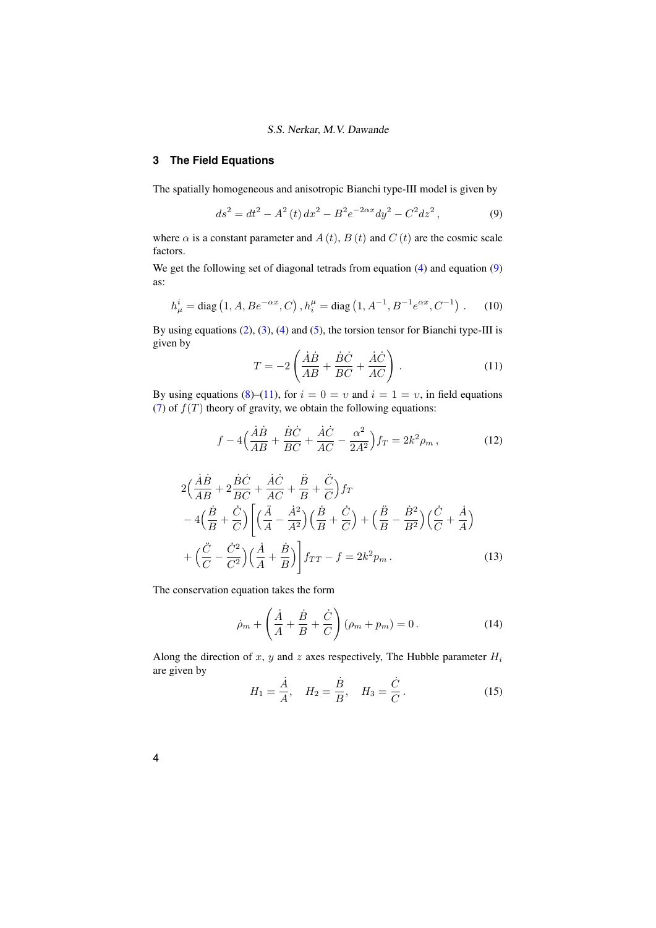# <span id="page-3-0"></span>**3 The Field Equations**

The spatially homogeneous and anisotropic Bianchi type-III model is given by

<span id="page-3-1"></span>
$$
ds^{2} = dt^{2} - A^{2}(t) dx^{2} - B^{2} e^{-2\alpha x} dy^{2} - C^{2} dz^{2},
$$
\n(9)

where  $\alpha$  is a constant parameter and  $A(t)$ ,  $B(t)$  and  $C(t)$  are the cosmic scale factors.

We get the following set of diagonal tetrads from equation [\(4\)](#page-2-1) and equation [\(9\)](#page-3-1) as:

<span id="page-3-2"></span>
$$
h_{\mu}^{i} = \text{diag}\left(1, A, B e^{-\alpha x}, C\right), h_{i}^{\mu} = \text{diag}\left(1, A^{-1}, B^{-1} e^{\alpha x}, C^{-1}\right). \tag{10}
$$

By using equations [\(2\)](#page-2-2), [\(3\)](#page-2-3), [\(4\)](#page-2-1) and [\(5\)](#page-2-4), the torsion tensor for Bianchi type-III is given by  $\overline{a}$ 

<span id="page-3-3"></span>
$$
T = -2\left(\frac{\dot{A}\dot{B}}{AB} + \frac{\dot{B}\dot{C}}{BC} + \frac{\dot{A}\dot{C}}{AC}\right). \tag{11}
$$

By using equations [\(8\)](#page-2-5)–[\(11\)](#page-3-2), for  $i = 0 = v$  and  $i = 1 = v$ , in field equations [\(7\)](#page-2-6) of  $f(T)$  theory of gravity, we obtain the following equations:

$$
f - 4\left(\frac{\dot{A}\dot{B}}{AB} + \frac{\dot{B}\dot{C}}{BC} + \frac{\dot{A}\dot{C}}{AC} - \frac{\alpha^2}{2A^2}\right) f_T = 2k^2 \rho_m \,,\tag{12}
$$

$$
2\left(\frac{\dot{A}\dot{B}}{AB} + 2\frac{\dot{B}\dot{C}}{BC} + \frac{\dot{A}\dot{C}}{AC} + \frac{\ddot{B}}{B} + \frac{\ddot{C}}{C}\right)f_T
$$
  

$$
-4\left(\frac{\dot{B}}{B} + \frac{\dot{C}}{C}\right)\left[\left(\frac{\ddot{A}}{A} - \frac{\dot{A}^2}{A^2}\right)\left(\frac{\dot{B}}{B} + \frac{\dot{C}}{C}\right) + \left(\frac{\ddot{B}}{B} - \frac{\dot{B}^2}{B^2}\right)\left(\frac{\dot{C}}{C} + \frac{\dot{A}}{A}\right)
$$

$$
+\left(\frac{\ddot{C}}{C} - \frac{\dot{C}^2}{C^2}\right)\left(\frac{\dot{A}}{A} + \frac{\dot{B}}{B}\right)\right]f_{TT} - f = 2k^2 p_m.
$$
(13)

The conservation equation takes the form

<span id="page-3-5"></span><span id="page-3-4"></span>
$$
\dot{\rho}_m + \left(\frac{\dot{A}}{A} + \frac{\dot{B}}{B} + \frac{\dot{C}}{C}\right)(\rho_m + p_m) = 0.
$$
 (14)

Along the direction of x, y and z axes respectively, The Hubble parameter  $H_i$ are given by  $\overline{\phantom{a}}$ 

$$
H_1 = \frac{\dot{A}}{A}, \quad H_2 = \frac{\dot{B}}{B}, \quad H_3 = \frac{\dot{C}}{C}.
$$
 (15)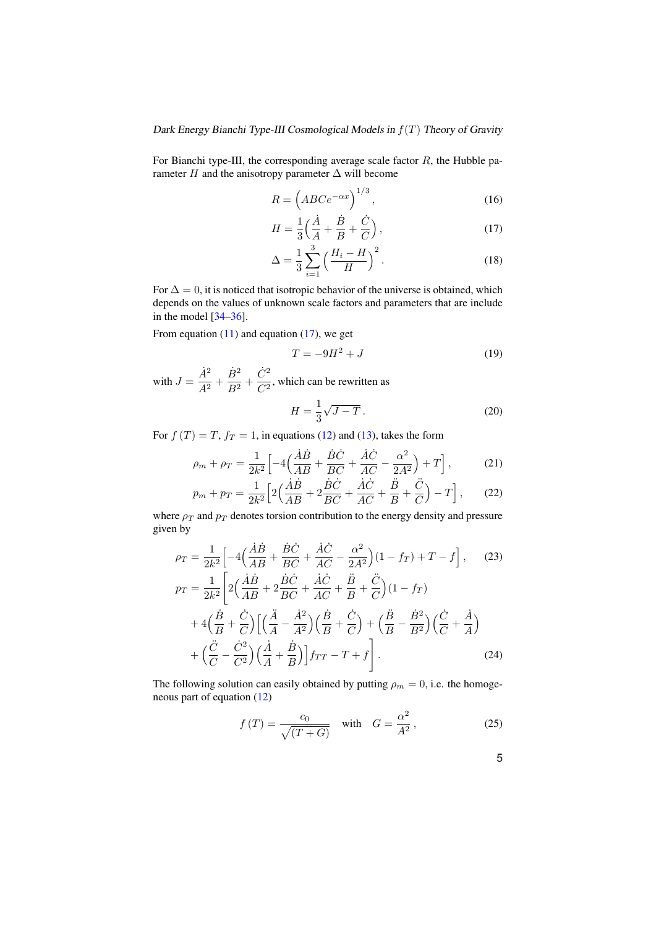For Bianchi type-III, the corresponding average scale factor  $R$ , the Hubble parameter  $H$  and the anisotropy parameter  $\Delta$  will become

$$
R = \left( ABCe^{-\alpha x} \right)^{1/3},\tag{16}
$$

<span id="page-4-0"></span>
$$
H = \frac{1}{3} \left( \frac{\dot{A}}{A} + \frac{\dot{B}}{B} + \frac{\dot{C}}{C} \right),\tag{17}
$$

$$
\Delta = \frac{1}{3} \sum_{i=1}^{3} \left( \frac{H_i - H}{H} \right)^2.
$$
 (18)

For  $\Delta = 0$ , it is noticed that isotropic behavior of the universe is obtained, which depends on the values of unknown scale factors and parameters that are include in the model [\[34](#page-9-19)[–36\]](#page-9-20).

From equation  $(11)$  and equation  $(17)$ , we get

<span id="page-4-2"></span>
$$
T = -9H^2 + J\tag{19}
$$

with  $J = \frac{\dot{A}^2}{4^2}$  $\frac{\dot{A}^2}{A^2}+\frac{\dot{B}^2}{B^2}$  $\frac{\dot{B}^2}{B^2} + \frac{\dot{C}^2}{C^2}$  $\frac{c}{C^2}$ , which can be rewritten as

$$
H = \frac{1}{3}\sqrt{J - T}.
$$
\n(20)

For  $f(T) = T$ ,  $f_T = 1$ , in equations [\(12\)](#page-3-3) and [\(13\)](#page-3-4), takes the form

$$
\rho_m + \rho_T = \frac{1}{2k^2} \left[ -4 \left( \frac{\dot{A}\dot{B}}{AB} + \frac{\dot{B}\dot{C}}{BC} + \frac{\dot{A}\dot{C}}{AC} - \frac{\alpha^2}{2A^2} \right) + T \right],\tag{21}
$$

$$
p_m + p_T = \frac{1}{2k^2} \left[ 2\left(\frac{\dot{A}\dot{B}}{AB} + 2\frac{\dot{B}\dot{C}}{BC} + \frac{\dot{A}\dot{C}}{AC} + \frac{\ddot{B}}{B} + \frac{\ddot{C}}{C}\right) - T \right],\tag{22}
$$

where  $\rho_T$  and  $p_T$  denotes torsion contribution to the energy density and pressure given by

$$
\rho_T = \frac{1}{2k^2} \Big[ -4 \Big( \frac{\dot{A}\dot{B}}{AB} + \frac{\dot{B}\dot{C}}{BC} + \frac{\dot{A}\dot{C}}{AC} - \frac{\alpha^2}{2A^2} \Big) (1 - f_T) + T - f \Big], \quad (23)
$$
  
\n
$$
p_T = \frac{1}{2k^2} \Big[ 2 \Big( \frac{\dot{A}\dot{B}}{AB} + 2 \frac{\dot{B}\dot{C}}{BC} + \frac{\dot{A}\dot{C}}{AC} + \frac{\ddot{B}}{B} + \frac{\ddot{C}}{C} \Big) (1 - f_T) + 4 \Big( \frac{\dot{B}}{B} + \frac{\dot{C}}{C} \Big) \Big[ \Big( \frac{\ddot{A}}{A} - \frac{\dot{A}^2}{A^2} \Big) \Big( \frac{\dot{B}}{B} + \frac{\dot{C}}{C} \Big) + \Big( \frac{\ddot{B}}{B} - \frac{\dot{B}^2}{B^2} \Big) \Big( \frac{\dot{C}}{C} + \frac{\dot{A}}{A} \Big) + \Big( \frac{\ddot{C}}{C} - \frac{\dot{C}^2}{C^2} \Big) \Big( \frac{\dot{A}}{A} + \frac{\dot{B}}{B} \Big) \Big] f_{TT} - T + f \Bigg]. \quad (24)
$$

The following solution can easily obtained by putting  $\rho_m = 0$ , i.e. the homogeneous part of equation [\(12\)](#page-3-3)

<span id="page-4-1"></span>
$$
f(T) = \frac{c_0}{\sqrt{(T+G)}} \quad \text{with} \quad G = \frac{\alpha^2}{A^2},\tag{25}
$$

5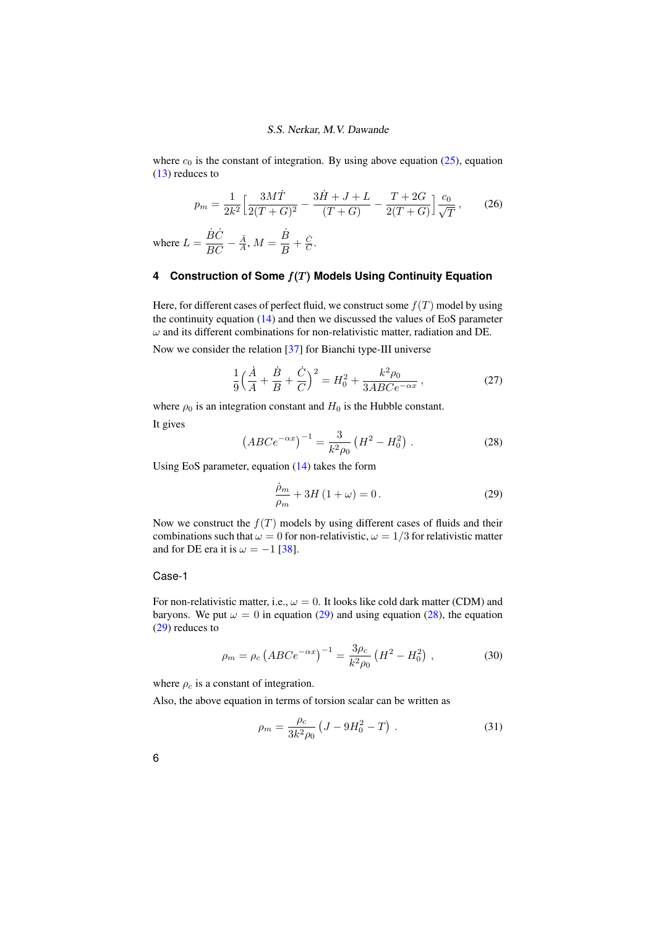where  $c_0$  is the constant of integration. By using above equation [\(25\)](#page-4-1), equation [\(13\)](#page-3-4) reduces to

$$
p_m = \frac{1}{2k^2} \left[ \frac{3M\dot{T}}{2(T+G)^2} - \frac{3\dot{H} + J + L}{(T+G)} - \frac{T+2G}{2(T+G)} \right] \frac{c_0}{\sqrt{T}},\tag{26}
$$

where  $L = \frac{\dot{B}\dot{C}}{BC}$  $\frac{\dot{B}\dot{C}}{BC} - \frac{\ddot{A}}{A}, M = \frac{\dot{B}}{B}$  $\frac{B}{B}+\frac{\dot{C}}{C}.$ 

# <span id="page-5-0"></span>**4 Construction of Some** f(T) **Models Using Continuity Equation**

Here, for different cases of perfect fluid, we construct some  $f(T)$  model by using the continuity equation [\(14\)](#page-3-5) and then we discussed the values of EoS parameter  $\omega$  and its different combinations for non-relativistic matter, radiation and DE.

Now we consider the relation [\[37\]](#page-9-21) for Bianchi type-III universe

$$
\frac{1}{9}\left(\frac{\dot{A}}{A} + \frac{\dot{B}}{B} + \frac{\dot{C}}{C}\right)^2 = H_0^2 + \frac{k^2 \rho_0}{3ABC e^{-\alpha x}},
$$
\n(27)

<span id="page-5-2"></span>where  $\rho_0$  is an integration constant and  $H_0$  is the Hubble constant. It gives

$$
\left( ABC e^{-\alpha x} \right)^{-1} = \frac{3}{k^2 \rho_0} \left( H^2 - H_0^2 \right) . \tag{28}
$$

Using EoS parameter, equation [\(14\)](#page-3-5) takes the form

<span id="page-5-1"></span>
$$
\frac{\dot{\rho}_m}{\rho_m} + 3H\left(1 + \omega\right) = 0. \tag{29}
$$

Now we construct the  $f(T)$  models by using different cases of fluids and their combinations such that  $\omega = 0$  for non-relativistic,  $\omega = 1/3$  for relativistic matter and for DE era it is  $\omega = -1$  [\[38\]](#page-9-22).

## Case-1

For non-relativistic matter, i.e.,  $\omega = 0$ . It looks like cold dark matter (CDM) and baryons. We put  $\omega = 0$  in equation [\(29\)](#page-5-1) and using equation [\(28\)](#page-5-2), the equation [\(29\)](#page-5-1) reduces to

$$
\rho_m = \rho_c \left( ABC e^{-\alpha x} \right)^{-1} = \frac{3\rho_c}{k^2 \rho_0} \left( H^2 - H_0^2 \right) , \qquad (30)
$$

where  $\rho_c$  is a constant of integration.

Also, the above equation in terms of torsion scalar can be written as

<span id="page-5-3"></span>
$$
\rho_m = \frac{\rho_c}{3k^2 \rho_0} \left( J - 9H_0^2 - T \right) . \tag{31}
$$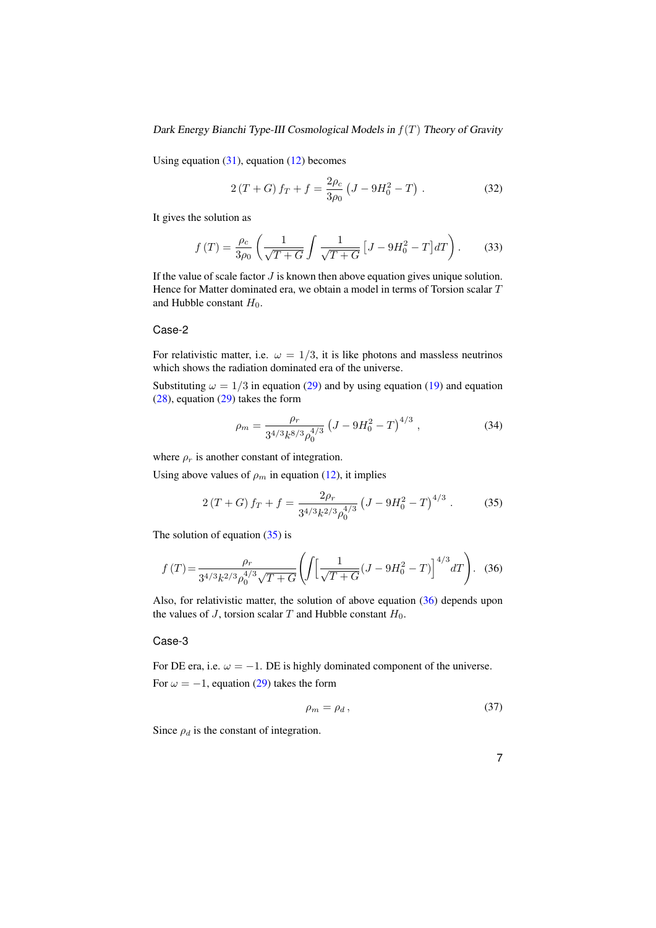Dark Energy Bianchi Type-III Cosmological Models in  $f(T)$  Theory of Gravity

Using equation  $(31)$ , equation  $(12)$  becomes

$$
2(T+G) f_T + f = \frac{2\rho_c}{3\rho_0} (J - 9H_0^2 - T) .
$$
 (32)

It gives the solution as

$$
f(T) = \frac{\rho_c}{3\rho_0} \left( \frac{1}{\sqrt{T+G}} \int \frac{1}{\sqrt{T+G}} \left[ J - 9H_0^2 - T \right] dT \right). \tag{33}
$$

If the value of scale factor  $J$  is known then above equation gives unique solution. Hence for Matter dominated era, we obtain a model in terms of Torsion scalar T and Hubble constant  $H_0$ .

## Case-2

For relativistic matter, i.e.  $\omega = 1/3$ , it is like photons and massless neutrinos which shows the radiation dominated era of the universe.

Substituting  $\omega = 1/3$  in equation [\(29\)](#page-5-1) and by using equation [\(19\)](#page-4-2) and equation [\(28\)](#page-5-2), equation [\(29\)](#page-5-1) takes the form

<span id="page-6-3"></span><span id="page-6-0"></span>
$$
\rho_m = \frac{\rho_r}{3^{4/3} k^{8/3} \rho_0^{4/3}} \left( J - 9H_0^2 - T \right)^{4/3},\tag{34}
$$

where  $\rho_r$  is another constant of integration.

Using above values of  $\rho_m$  in equation [\(12\)](#page-3-3), it implies

<span id="page-6-1"></span>
$$
2(T+G) f_T + f = \frac{2\rho_r}{3^{4/3} k^{2/3} \rho_0^{4/3}} \left(J - 9H_0^2 - T\right)^{4/3}.
$$
 (35)

The solution of equation  $(35)$  is

$$
f(T) = \frac{\rho_r}{3^{4/3}k^{2/3}\rho_0^{4/3}\sqrt{T+G}} \left( \int \left[ \frac{1}{\sqrt{T+G}} (J - 9H_0^2 - T) \right]^{4/3} dT \right). \tag{36}
$$

Also, for relativistic matter, the solution of above equation [\(36\)](#page-6-1) depends upon the values of J, torsion scalar T and Hubble constant  $H_0$ .

#### Case-3

For DE era, i.e.  $\omega = -1$ . DE is highly dominated component of the universe. For  $\omega = -1$ , equation [\(29\)](#page-5-1) takes the form

<span id="page-6-2"></span>
$$
\rho_m = \rho_d \,,\tag{37}
$$

Since  $\rho_d$  is the constant of integration.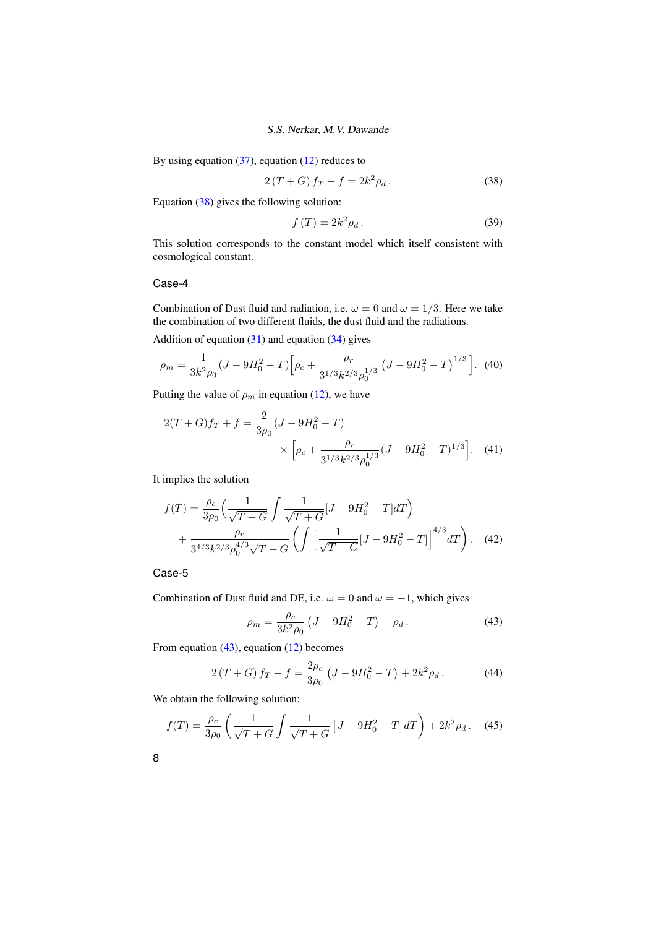By using equation  $(37)$ , equation  $(12)$  reduces to

$$
2(T+G) f_T + f = 2k^2 \rho_d.
$$
 (38)

Equation [\(38\)](#page-7-0) gives the following solution:

<span id="page-7-0"></span>
$$
f(T) = 2k^2 \rho_d.
$$
 (39)

This solution corresponds to the constant model which itself consistent with cosmological constant.

## Case-4

Combination of Dust fluid and radiation, i.e.  $\omega = 0$  and  $\omega = 1/3$ . Here we take the combination of two different fluids, the dust fluid and the radiations.

Addition of equation  $(31)$  and equation  $(34)$  gives

$$
\rho_m = \frac{1}{3k^2 \rho_0} (J - 9H_0^2 - T) \Big[ \rho_c + \frac{\rho_r}{3^{1/3} k^{2/3} \rho_0^{1/3}} \left( J - 9H_0^2 - T \right)^{1/3} \Big]. \tag{40}
$$

Putting the value of  $\rho_m$  in equation [\(12\)](#page-3-3), we have

$$
2(T+G)f_T + f = \frac{2}{3\rho_0}(J - 9H_0^2 - T)
$$

$$
\times \left[\rho_c + \frac{\rho_r}{3^{1/3}k^{2/3}\rho_0^{1/3}}(J - 9H_0^2 - T)^{1/3}\right].
$$
 (41)

It implies the solution

$$
f(T) = \frac{\rho_c}{3\rho_0} \left( \frac{1}{\sqrt{T+G}} \int \frac{1}{\sqrt{T+G}} [J - 9H_0^2 - T] dT \right) + \frac{\rho_r}{3^{4/3} k^{2/3} \rho_0^{4/3} \sqrt{T+G}} \left( \int \left[ \frac{1}{\sqrt{T+G}} [J - 9H_0^2 - T] \right]^{4/3} dT \right). \tag{42}
$$

# Case-5

Combination of Dust fluid and DE, i.e.  $\omega = 0$  and  $\omega = -1$ , which gives

<span id="page-7-1"></span>
$$
\rho_m = \frac{\rho_c}{3k^2 \rho_0} \left( J - 9H_0^2 - T \right) + \rho_d \,. \tag{43}
$$

From equation [\(43\)](#page-7-1), equation [\(12\)](#page-3-3) becomes

$$
2(T+G) f_T + f = \frac{2\rho_c}{3\rho_0} \left( J - 9H_0^2 - T \right) + 2k^2 \rho_d \,. \tag{44}
$$

We obtain the following solution:

$$
f(T) = \frac{\rho_c}{3\rho_0} \left( \frac{1}{\sqrt{T+G}} \int \frac{1}{\sqrt{T+G}} \left[ J - 9H_0^2 - T \right] dT \right) + 2k^2 \rho_d. \tag{45}
$$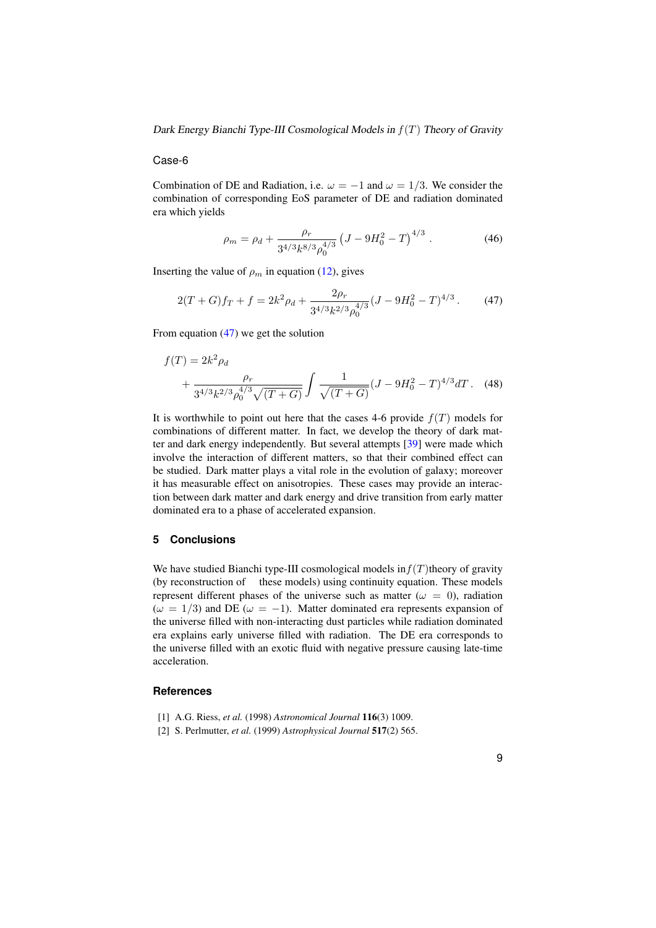#### Dark Energy Bianchi Type-III Cosmological Models in  $f(T)$  Theory of Gravity

#### Case-6

Combination of DE and Radiation, i.e.  $\omega = -1$  and  $\omega = 1/3$ . We consider the combination of corresponding EoS parameter of DE and radiation dominated era which yields

<span id="page-8-3"></span>
$$
\rho_m = \rho_d + \frac{\rho_r}{3^{4/3} k^{8/3} \rho_0^{4/3}} \left( J - 9H_0^2 - T \right)^{4/3} . \tag{46}
$$

Inserting the value of  $\rho_m$  in equation [\(12\)](#page-3-3), gives

$$
2(T+G)f_T + f = 2k^2\rho_d + \frac{2\rho_r}{3^{4/3}k^{2/3}\rho_0^{4/3}}(J - 9H_0^2 - T)^{4/3}.
$$
 (47)

From equation [\(47\)](#page-8-3) we get the solution

$$
f(T) = 2k^2 \rho_d
$$
  
+ 
$$
\frac{\rho_r}{3^{4/3} k^{2/3} \rho_0^{4/3} \sqrt{(T+G)}} \int \frac{1}{\sqrt{(T+G)}} (J - 9H_0^2 - T)^{4/3} dT.
$$
 (48)

It is worthwhile to point out here that the cases 4-6 provide  $f(T)$  models for combinations of different matter. In fact, we develop the theory of dark matter and dark energy independently. But several attempts [\[39\]](#page-9-23) were made which involve the interaction of different matters, so that their combined effect can be studied. Dark matter plays a vital role in the evolution of galaxy; moreover it has measurable effect on anisotropies. These cases may provide an interaction between dark matter and dark energy and drive transition from early matter dominated era to a phase of accelerated expansion.

# **5 Conclusions**

We have studied Bianchi type-III cosmological models in  $f(T)$ theory of gravity (by reconstruction of these models) using continuity equation. These models represent different phases of the universe such as matter ( $\omega = 0$ ), radiation  $(\omega = 1/3)$  and DE ( $\omega = -1$ ). Matter dominated era represents expansion of the universe filled with non-interacting dust particles while radiation dominated era explains early universe filled with radiation. The DE era corresponds to the universe filled with an exotic fluid with negative pressure causing late-time acceleration.

# <span id="page-8-0"></span>**References**

- <span id="page-8-1"></span>[1] A.G. Riess, *et al.* (1998) *Astronomical Journal* 116(3) 1009.
- <span id="page-8-2"></span>[2] S. Perlmutter, *et al.* (1999) *Astrophysical Journal* 517(2) 565.